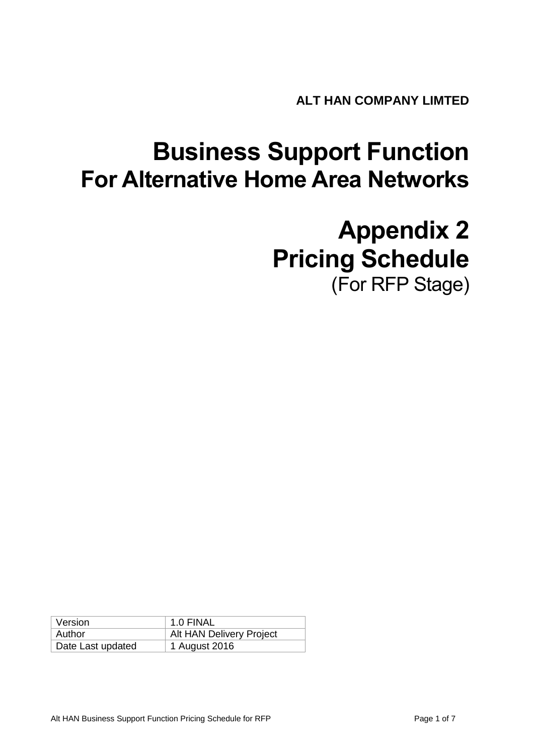**ALT HAN COMPANY LIMTED** 

# **Business Support Function For Alternative Home Area Networks**

# **Appendix 2 Pricing Schedule** (For RFP Stage)

| Version           | 1.0 FINAL                |
|-------------------|--------------------------|
| Author            | Alt HAN Delivery Project |
| Date Last updated | 1 August 2016            |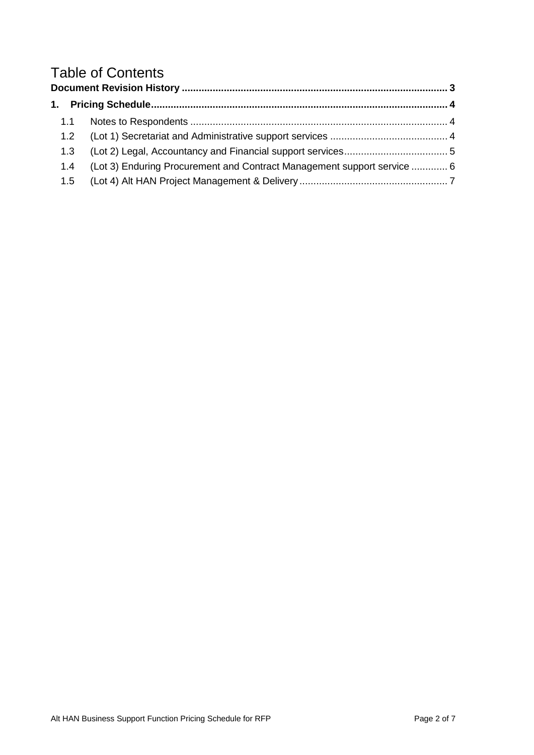## Table of Contents

| 1.1 |                                                                         |  |
|-----|-------------------------------------------------------------------------|--|
| 1.2 |                                                                         |  |
| 1.3 |                                                                         |  |
| 1.4 | (Lot 3) Enduring Procurement and Contract Management support service  6 |  |
|     |                                                                         |  |
|     |                                                                         |  |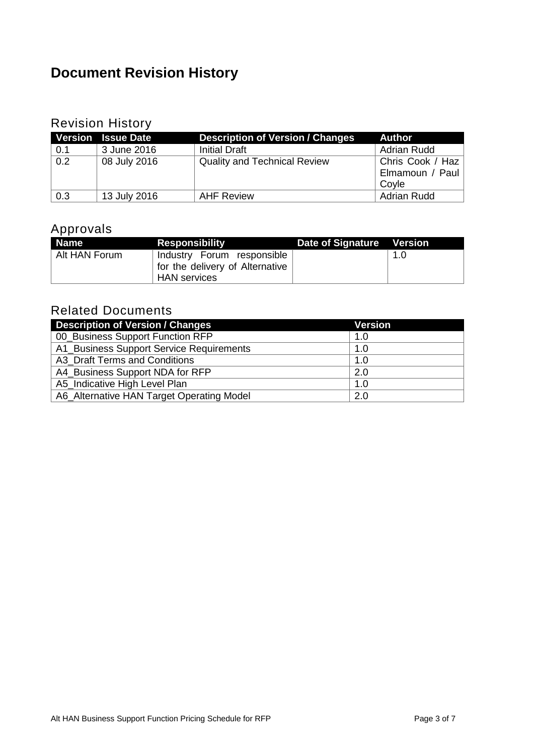## <span id="page-2-0"></span>**Document Revision History**

#### Revision History

|     | <b>Version Issue Date</b> | <b>Description of Version / Changes</b> | <b>Author</b>      |
|-----|---------------------------|-----------------------------------------|--------------------|
| 0.1 | 3 June 2016               | <b>Initial Draft</b>                    | <b>Adrian Rudd</b> |
| 0.2 | 08 July 2016              | <b>Quality and Technical Review</b>     | Chris Cook / Haz   |
|     |                           |                                         | Elmamoun / Paul    |
|     |                           |                                         | Covle              |
| 0.3 | 13 July 2016              | <b>AHF Review</b>                       | <b>Adrian Rudd</b> |

### Approvals

| <b>Name</b>   | <b>Responsibility</b>                                         | Date of Signature Version |     |
|---------------|---------------------------------------------------------------|---------------------------|-----|
| Alt HAN Forum | Industry Forum responsible<br>for the delivery of Alternative |                           | 1.0 |
|               | HAN services                                                  |                           |     |

#### Related Documents

| <b>Description of Version / Changes</b>   | <b>Version</b> |
|-------------------------------------------|----------------|
| 00_Business Support Function RFP          | 1.0            |
| A1_Business Support Service Requirements  | 1.0            |
| A3 Draft Terms and Conditions             | 1.0            |
| A4_Business Support NDA for RFP           | 2.0            |
| A5 Indicative High Level Plan             | 1.0            |
| A6_Alternative HAN Target Operating Model | 2.0            |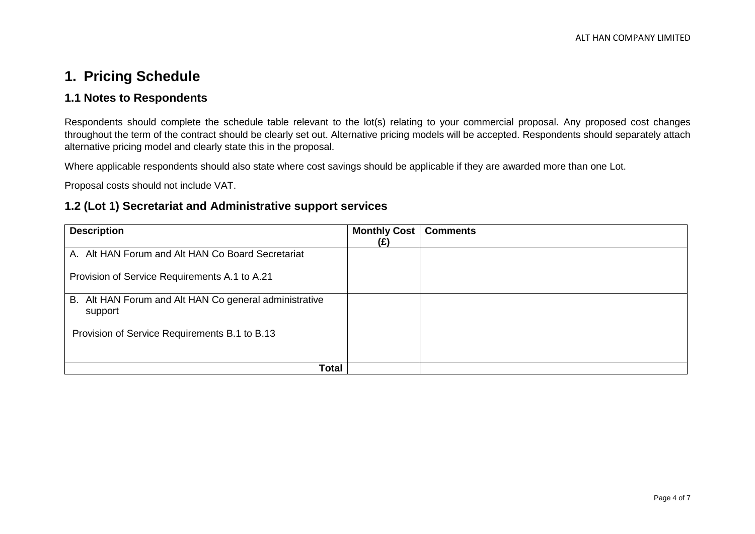## **1. Pricing Schedule**

#### **1.1 Notes to Respondents**

Respondents should complete the schedule table relevant to the lot(s) relating to your commercial proposal. Any proposed cost changes throughout the term of the contract should be clearly set out. Alternative pricing models will be accepted. Respondents should separately attach alternative pricing model and clearly state this in the proposal.

Where applicable respondents should also state where cost savings should be applicable if they are awarded more than one Lot.

Proposal costs should not include VAT.

#### **1.2 (Lot 1) Secretariat and Administrative support services**

<span id="page-3-2"></span><span id="page-3-1"></span><span id="page-3-0"></span>

| <b>Description</b>                                                | <b>Monthly Cost</b><br>(£) | <b>Comments</b> |
|-------------------------------------------------------------------|----------------------------|-----------------|
| A. Alt HAN Forum and Alt HAN Co Board Secretariat                 |                            |                 |
| Provision of Service Requirements A.1 to A.21                     |                            |                 |
| B. Alt HAN Forum and Alt HAN Co general administrative<br>support |                            |                 |
| Provision of Service Requirements B.1 to B.13                     |                            |                 |
| Total                                                             |                            |                 |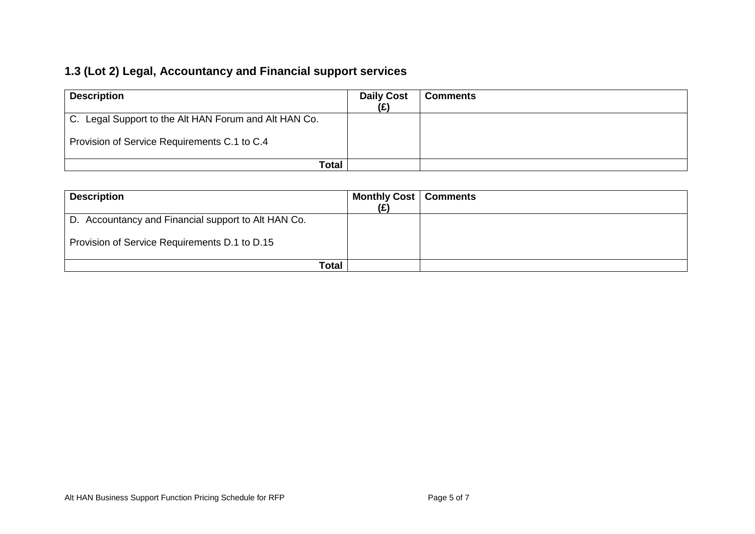## **1.3 (Lot 2) Legal, Accountancy and Financial support services**

| <b>Description</b>                                    | <b>Daily Cost</b> | <b>Comments</b> |
|-------------------------------------------------------|-------------------|-----------------|
| C. Legal Support to the Alt HAN Forum and Alt HAN Co. |                   |                 |
| Provision of Service Requirements C.1 to C.4          |                   |                 |
| Total                                                 |                   |                 |

<span id="page-4-0"></span>

| <b>Description</b>                                  | <b>Monthly Cost   Comments</b> |  |
|-----------------------------------------------------|--------------------------------|--|
|                                                     | (£)                            |  |
| D. Accountancy and Financial support to Alt HAN Co. |                                |  |
| Provision of Service Requirements D.1 to D.15       |                                |  |
| Total                                               |                                |  |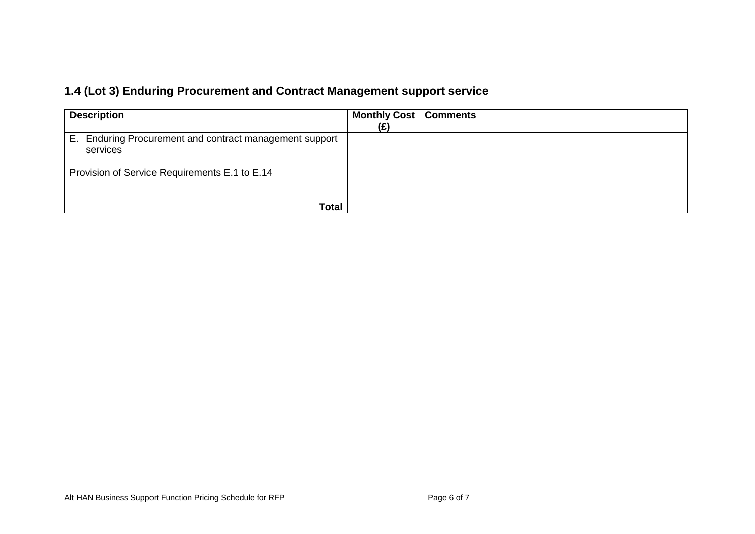## **1.4 (Lot 3) Enduring Procurement and Contract Management support service**

<span id="page-5-0"></span>

| <b>Description</b>                                                                                                   | <b>Monthly Cost   Comments</b> |  |
|----------------------------------------------------------------------------------------------------------------------|--------------------------------|--|
|                                                                                                                      | (£)                            |  |
| E. Enduring Procurement and contract management support<br>services<br>Provision of Service Requirements E.1 to E.14 |                                |  |
| Total                                                                                                                |                                |  |